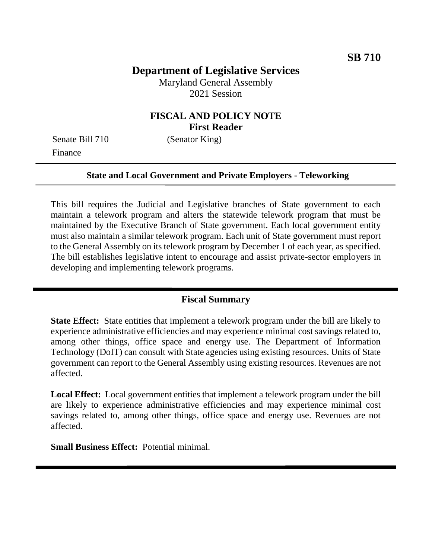# **Department of Legislative Services**

Maryland General Assembly 2021 Session

### **FISCAL AND POLICY NOTE First Reader**

Senate Bill 710 (Senator King) Finance

#### **State and Local Government and Private Employers - Teleworking**

This bill requires the Judicial and Legislative branches of State government to each maintain a telework program and alters the statewide telework program that must be maintained by the Executive Branch of State government. Each local government entity must also maintain a similar telework program. Each unit of State government must report to the General Assembly on its telework program by December 1 of each year, as specified. The bill establishes legislative intent to encourage and assist private-sector employers in developing and implementing telework programs.

#### **Fiscal Summary**

**State Effect:** State entities that implement a telework program under the bill are likely to experience administrative efficiencies and may experience minimal cost savings related to, among other things, office space and energy use. The Department of Information Technology (DoIT) can consult with State agencies using existing resources. Units of State government can report to the General Assembly using existing resources. Revenues are not affected.

**Local Effect:** Local government entities that implement a telework program under the bill are likely to experience administrative efficiencies and may experience minimal cost savings related to, among other things, office space and energy use. Revenues are not affected.

**Small Business Effect:** Potential minimal.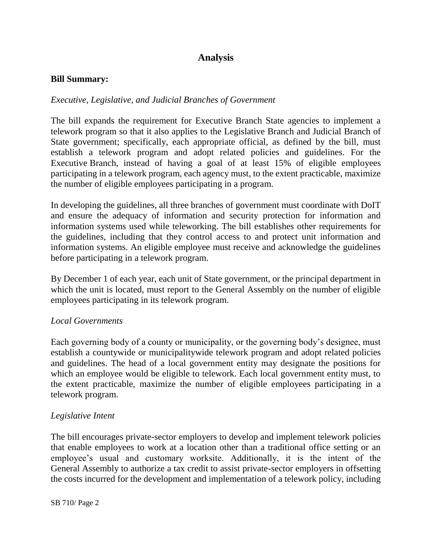## **Analysis**

#### **Bill Summary:**

#### *Executive, Legislative, and Judicial Branches of Government*

The bill expands the requirement for Executive Branch State agencies to implement a telework program so that it also applies to the Legislative Branch and Judicial Branch of State government; specifically, each appropriate official, as defined by the bill, must establish a telework program and adopt related policies and guidelines. For the Executive Branch, instead of having a goal of at least 15% of eligible employees participating in a telework program, each agency must, to the extent practicable, maximize the number of eligible employees participating in a program.

In developing the guidelines, all three branches of government must coordinate with DoIT and ensure the adequacy of information and security protection for information and information systems used while teleworking. The bill establishes other requirements for the guidelines, including that they control access to and protect unit information and information systems. An eligible employee must receive and acknowledge the guidelines before participating in a telework program.

By December 1 of each year, each unit of State government, or the principal department in which the unit is located, must report to the General Assembly on the number of eligible employees participating in its telework program.

#### *Local Governments*

Each governing body of a county or municipality, or the governing body's designee, must establish a countywide or municipalitywide telework program and adopt related policies and guidelines. The head of a local government entity may designate the positions for which an employee would be eligible to telework. Each local government entity must, to the extent practicable, maximize the number of eligible employees participating in a telework program.

#### *Legislative Intent*

The bill encourages private-sector employers to develop and implement telework policies that enable employees to work at a location other than a traditional office setting or an employee's usual and customary worksite. Additionally, it is the intent of the General Assembly to authorize a tax credit to assist private-sector employers in offsetting the costs incurred for the development and implementation of a telework policy, including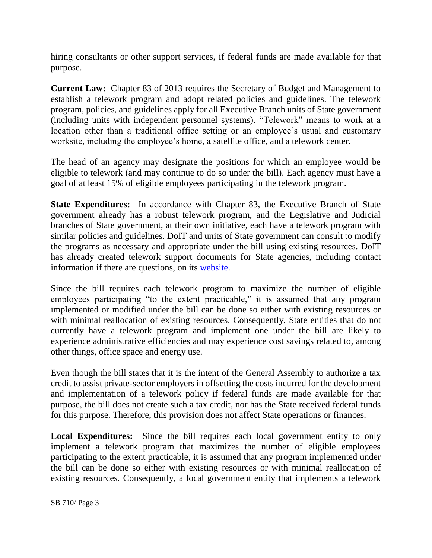hiring consultants or other support services, if federal funds are made available for that purpose.

**Current Law:** Chapter 83 of 2013 requires the Secretary of Budget and Management to establish a telework program and adopt related policies and guidelines. The telework program, policies, and guidelines apply for all Executive Branch units of State government (including units with independent personnel systems). "Telework" means to work at a location other than a traditional office setting or an employee's usual and customary worksite, including the employee's home, a satellite office, and a telework center.

The head of an agency may designate the positions for which an employee would be eligible to telework (and may continue to do so under the bill). Each agency must have a goal of at least 15% of eligible employees participating in the telework program.

**State Expenditures:** In accordance with Chapter 83, the Executive Branch of State government already has a robust telework program, and the Legislative and Judicial branches of State government, at their own initiative, each have a telework program with similar policies and guidelines. DoIT and units of State government can consult to modify the programs as necessary and appropriate under the bill using existing resources. DoIT has already created telework support documents for State agencies, including contact information if there are questions, on its [website.](https://doit.maryland.gov/policies/Pages/20-10-IT-Support-for-Telework.aspx)

Since the bill requires each telework program to maximize the number of eligible employees participating "to the extent practicable," it is assumed that any program implemented or modified under the bill can be done so either with existing resources or with minimal reallocation of existing resources. Consequently, State entities that do not currently have a telework program and implement one under the bill are likely to experience administrative efficiencies and may experience cost savings related to, among other things, office space and energy use.

Even though the bill states that it is the intent of the General Assembly to authorize a tax credit to assist private-sector employers in offsetting the costs incurred for the development and implementation of a telework policy if federal funds are made available for that purpose, the bill does not create such a tax credit, nor has the State received federal funds for this purpose. Therefore, this provision does not affect State operations or finances.

Local Expenditures: Since the bill requires each local government entity to only implement a telework program that maximizes the number of eligible employees participating to the extent practicable, it is assumed that any program implemented under the bill can be done so either with existing resources or with minimal reallocation of existing resources. Consequently, a local government entity that implements a telework